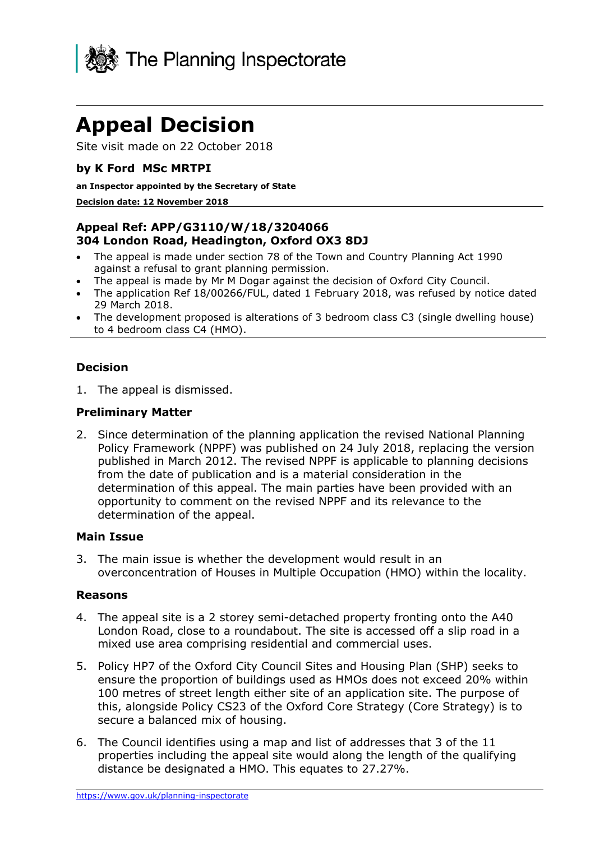

# **Appeal Decision**

Site visit made on 22 October 2018

## **by K Ford MSc MRTPI**

#### **an Inspector appointed by the Secretary of State**

#### **Decision date: 12 November 2018**

## **Appeal Ref: APP/G3110/W/18/3204066 304 London Road, Headington, Oxford OX3 8DJ**

- The appeal is made under section 78 of the Town and Country Planning Act 1990 against a refusal to grant planning permission.
- The appeal is made by Mr M Dogar against the decision of Oxford City Council.
- The application Ref 18/00266/FUL, dated 1 February 2018, was refused by notice dated 29 March 2018.
- The development proposed is alterations of 3 bedroom class C3 (single dwelling house) to 4 bedroom class C4 (HMO).

### **Decision**

1. The appeal is dismissed.

### **Preliminary Matter**

2. Since determination of the planning application the revised National Planning Policy Framework (NPPF) was published on 24 July 2018, replacing the version published in March 2012. The revised NPPF is applicable to planning decisions from the date of publication and is a material consideration in the determination of this appeal. The main parties have been provided with an opportunity to comment on the revised NPPF and its relevance to the determination of the appeal.

### **Main Issue**

3. The main issue is whether the development would result in an overconcentration of Houses in Multiple Occupation (HMO) within the locality.

#### **Reasons**

- 4. The appeal site is a 2 storey semi-detached property fronting onto the A40 London Road, close to a roundabout. The site is accessed off a slip road in a mixed use area comprising residential and commercial uses.
- 5. Policy HP7 of the Oxford City Council Sites and Housing Plan (SHP) seeks to ensure the proportion of buildings used as HMOs does not exceed 20% within 100 metres of street length either site of an application site. The purpose of this, alongside Policy CS23 of the Oxford Core Strategy (Core Strategy) is to secure a balanced mix of housing.
- 6. The Council identifies using a map and list of addresses that 3 of the 11 properties including the appeal site would along the length of the qualifying distance be designated a HMO. This equates to 27.27%.